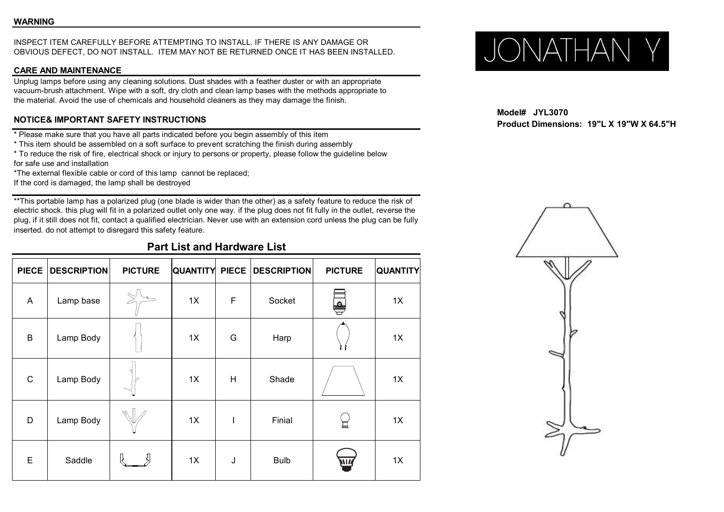# INSPECT ITEM CAREFULLY BEFORE ATTEMPTING TO INSTALL. IF THERE IS ANY DAMAGE OR<br>OBVIOUS DEFECT, DO NOT INSTALL. ITEM MAY NOT BE RETURNED ONCE IT HAS BEEN INSTALLED.  $\bigcup_{\text{max of } \{1,2,3\}} \bigcup_{\text{max of } \{1,4,5\}} \bigcup_{\text{max of } \{1,4,5\}}$ OBVIOUS DEFECT, DO NOT INSTALL. ITEM MAY NOT BE RETURNED ONCE ITHAS BEEN INSTALLED.

### **CARE AND MAINTENANCE**

Unplug lamps before using any cleaning solutions. Dust shades with a feather duster or with an appropriate vacuum-brush attachment. Wipe with a soft, dry cloth and clean lamp bases with the methods appropriate to the material. Avoid the use of chemicals and household cleaners as they may damage the finish.

## **NOTICE& IMPORTANT SAFETY INSTRUCTIONS**

\* Please make sure that you have all parts indicated before you begin assembly of this item

\* This item should be assembled on a soft surface to prevent scratching the finish during assembly

\* To reduce the risk of fire, electrical shock or injury to persons or property, please follow the guideline below for safe use and installation

\*The external flexible cable or cord of this lamp cannot be replaced;

If the cord is damaged, the lamp shall be destroyed

\*\*This portable lamp has a polarized plug (one blade is wider than the other) as a safety feature to reduce the risk of electric shock. this plug will fit in a polarized outlet only one way. if the plug does not fit fully in the outlet, reverse the plug, if it still does not fit, contact a qualified electrician. Never use with an extension cord unless the plug can be fully inserted. do not attempt to disregard this safety feature.

# **Part List and Hardware List**

|                         | PIECE   DESCRIPTION | <b>PICTURE</b>                   | <b>QUANTITY PIECE</b> |             | <b>DESCRIPTION</b> | <b>PICTURE</b> | <b>QUANTITY</b> |
|-------------------------|---------------------|----------------------------------|-----------------------|-------------|--------------------|----------------|-----------------|
| $\overline{\mathsf{A}}$ | Lamp base           | $\mathcal{S}$<br>╱               | 1X                    | $\mathsf F$ | Socket             | ę              | 1X              |
| $\sf B$                 | Lamp Body           |                                  | 1X                    | G           | Harp               |                | 1X              |
| $\mathbf C$             | Lamp Body           | $\triangleright$<br>$\mathbb{R}$ | 1X                    | H           | Shade              |                | 1X              |
| D                       | Lamp Body           |                                  | 1X                    | I           | Finial             | 닢              | 1X              |
| E                       | Saddle              | ß                                | 1X                    | J           | <b>Bulb</b>        | <b>ATIL</b>    | 1X              |

**Model# JYL3070 Product Dimensions: 19"L X 19"W X 64.5"H**